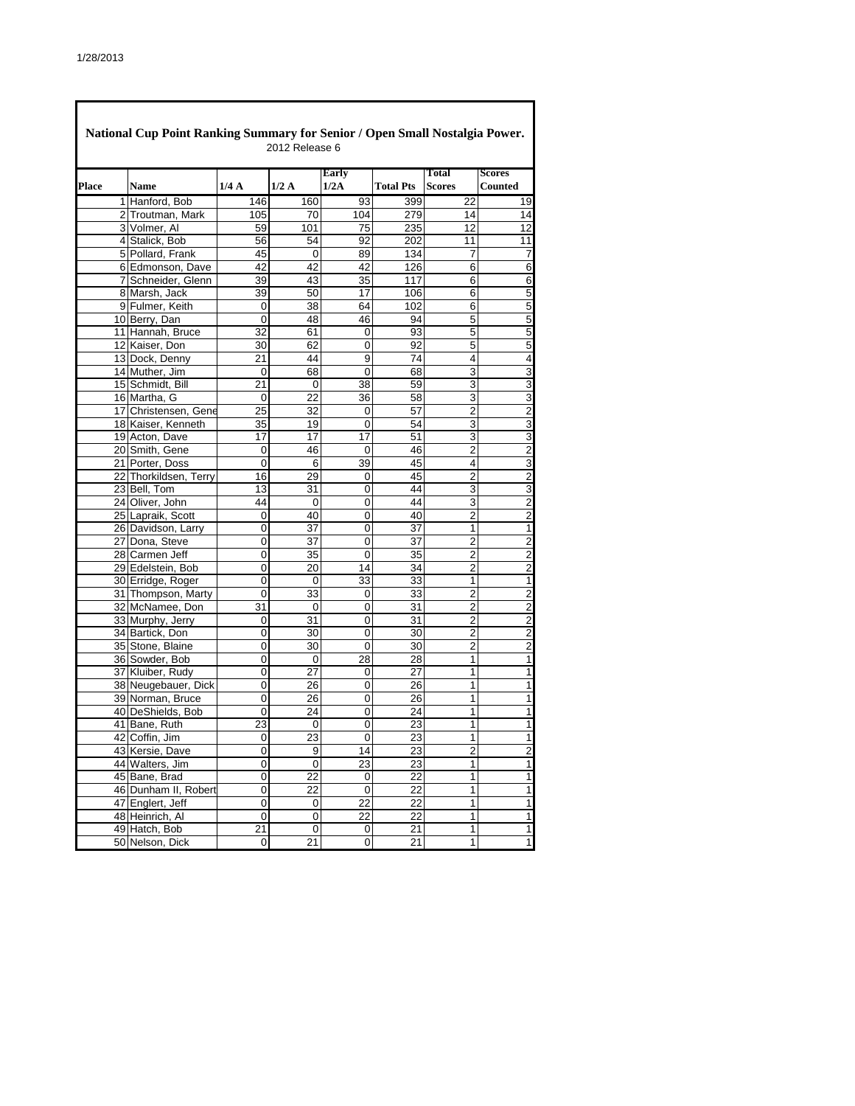| National Cup Point Ranking Summary for Senior / Open Small Nostalgia Power.<br>2012 Release 6 |                       |                 |             |                |                  |                        |                                 |  |  |  |
|-----------------------------------------------------------------------------------------------|-----------------------|-----------------|-------------|----------------|------------------|------------------------|---------------------------------|--|--|--|
| Place                                                                                         | <b>Name</b>           | 1/4A            | 1/2A        | Early<br>1/2A  | <b>Total Pts</b> | Total<br><b>Scores</b> | <b>Scores</b><br><b>Counted</b> |  |  |  |
|                                                                                               | 1 Hanford, Bob        | 146             | 160         | 93             | 399              | 22                     | 19                              |  |  |  |
|                                                                                               | 2 Troutman, Mark      | 105             | 70          | 104            | 279              | 14                     | 14                              |  |  |  |
|                                                                                               | 3 Volmer, Al          | 59              | 101         | 75             | 235              | 12                     | $\overline{12}$                 |  |  |  |
|                                                                                               | 4 Stalick, Bob        | 56              | 54          | 92             | 202              | 11                     | 11                              |  |  |  |
|                                                                                               | 5 Pollard, Frank      | 45              | 0           | 89             | 134              | 7                      | 7                               |  |  |  |
|                                                                                               | 6 Edmonson, Dave      | 42              | 42          | 42             | 126              | 6                      | 6                               |  |  |  |
|                                                                                               | 7 Schneider, Glenn    | 39              | 43          | 35             | 117              | 6                      | 6                               |  |  |  |
|                                                                                               | 8 Marsh, Jack         | 39              | 50          | 17             | 106              | 6                      | 5                               |  |  |  |
|                                                                                               | 9 Fulmer, Keith       | $\mathbf 0$     | 38          | 64             | 102              | 6                      | 5                               |  |  |  |
|                                                                                               | 10 Berry, Dan         | $\mathbf 0$     | 48          | 46             | 94               | 5                      | 5                               |  |  |  |
|                                                                                               | 11 Hannah, Bruce      | 32              | 61          | 0              | 93               | 5                      | 5                               |  |  |  |
|                                                                                               | 12 Kaiser, Don        | 30              | 62          | 0              | 92               | 5                      | 5                               |  |  |  |
|                                                                                               | 13 Dock, Denny        | 21              | 44          | 9              | 74               | 4                      | $\overline{4}$                  |  |  |  |
|                                                                                               | 14 Muther, Jim        | 0               | 68          | 0              | 68               | 3                      | $\overline{3}$                  |  |  |  |
|                                                                                               | 15 Schmidt, Bill      | 21              | 0           | 38             | 59               | 3                      | $\overline{3}$                  |  |  |  |
|                                                                                               | 16 Martha, G          | $\mathbf 0$     | 22          | 36             | 58               | 3                      | $\overline{3}$                  |  |  |  |
|                                                                                               | 17 Christensen, Gene  | 25              | 32          | 0              | 57               | $\overline{c}$         |                                 |  |  |  |
|                                                                                               | 18 Kaiser, Kenneth    | 35              | 19          | 0              | 54               | 3                      | $\frac{2}{3}$                   |  |  |  |
|                                                                                               | 19 Acton, Dave        | 17              | 17          | 17             | 51               | 3                      |                                 |  |  |  |
|                                                                                               | 20 Smith, Gene        | 0               | 46          | 0              | 46               | $\overline{c}$         | $\overline{2}$                  |  |  |  |
|                                                                                               | 21 Porter, Doss       | 0               | 6           | 39             | 45               | 4                      | $\overline{3}$                  |  |  |  |
|                                                                                               | 22 Thorkildsen, Terry | 16              | 29          | 0              | 45               | $\overline{2}$         | $\overline{2}$                  |  |  |  |
|                                                                                               | 23 Bell, Tom          | 13              | 31          | 0              | 44               | 3                      | $\overline{3}$                  |  |  |  |
|                                                                                               | 24 Oliver, John       | 44              | 0           | 0              | 44               | 3                      |                                 |  |  |  |
|                                                                                               | 25 Lapraik, Scott     | 0               | 40          | 0              | 40               | $\overline{2}$         | $\frac{2}{2}$                   |  |  |  |
|                                                                                               | 26 Davidson, Larry    | $\mathbf 0$     | 37          | 0              | 37               | 1                      | $\overline{1}$                  |  |  |  |
|                                                                                               | 27 Dona, Steve        | 0               | 37          | 0              | 37               | $\overline{2}$         | $\overline{2}$                  |  |  |  |
|                                                                                               | 28 Carmen Jeff        | $\overline{0}$  | 35          | 0              | $\overline{35}$  | $\overline{2}$         | $\overline{c}$                  |  |  |  |
|                                                                                               | 29 Edelstein, Bob     | 0               | 20          | 14             | 34               | 2                      | $\overline{\mathbf{c}}$         |  |  |  |
|                                                                                               | 30 Erridge, Roger     | 0               | 0           | 33             | 33               | 1                      | $\overline{1}$                  |  |  |  |
|                                                                                               | 31 Thompson, Marty    | 0               | 33          | 0              | 33               | 2                      | $\overline{2}$                  |  |  |  |
|                                                                                               | 32 McNamee, Don       | 31              | 0           | 0              | $\overline{31}$  | $\overline{2}$         |                                 |  |  |  |
|                                                                                               | 33 Murphy, Jerry      | 0               | 31          | 0              | 31               | 2                      | $\frac{2}{2}$                   |  |  |  |
|                                                                                               | 34 Bartick, Don       | 0               | 30          | 0              | $\overline{30}$  | $\overline{2}$         | $\overline{2}$                  |  |  |  |
|                                                                                               | 35 Stone, Blaine      | 0               | 30          | 0              | 30               | 2                      | $\overline{2}$                  |  |  |  |
|                                                                                               | 36 Sowder, Bob        | 0               | 0           | 28             | 28               | 1                      | $\overline{\mathbf{1}}$         |  |  |  |
|                                                                                               | 37 Kluiber, Rudy      | 0               | 27          | 0              | 27               | 1                      | $\overline{1}$                  |  |  |  |
|                                                                                               | 38 Neugebauer, Dick   | 0               | 26          | 0              | 26               | 1                      | $\overline{\mathbf{1}}$         |  |  |  |
|                                                                                               | 39 Norman, Bruce      | 0               | 26          | 0              | 26               | 1                      | $\overline{1}$                  |  |  |  |
|                                                                                               | 40 DeShields, Bob     | 0               | 24          | 0              | 24               | 1                      | $\mathbf{1}$                    |  |  |  |
|                                                                                               | 41 Bane, Ruth         | $\overline{23}$ | $\mathbf 0$ | $\overline{0}$ | 23               | 1                      | 1                               |  |  |  |
|                                                                                               | 42 Coffin, Jim        | 0               | 23          | $\overline{0}$ | 23               | 1                      | $\overline{\mathbf{1}}$         |  |  |  |
|                                                                                               | 43 Kersie, Dave       | 0               | 9           | 14             | 23               | $\overline{2}$         | $\overline{2}$                  |  |  |  |
|                                                                                               | 44 Walters, Jim       | 0               | 0           | 23             | 23               | 1                      | $\overline{\mathbf{1}}$         |  |  |  |
|                                                                                               | 45 Bane, Brad         | 0               | 22          | $\overline{0}$ | 22               | $\mathbf{1}$           | $\overline{1}$                  |  |  |  |
|                                                                                               | 46 Dunham II, Robert  | 0               | 22          | $\overline{0}$ | 22               | 1                      | $\overline{1}$                  |  |  |  |
|                                                                                               | 47 Englert, Jeff      | 0               | 0           | 22             | 22               | $\mathbf{1}$           | $\overline{1}$                  |  |  |  |
|                                                                                               | 48 Heinrich, Al       | 0               | 0           | 22             | 22               | $\mathbf{1}$           | $\overline{\mathbf{1}}$         |  |  |  |
|                                                                                               | 49 Hatch, Bob         | 21              | 0           | $\overline{0}$ | 21               | 1                      | $\overline{1}$                  |  |  |  |
|                                                                                               | 50 Nelson, Dick       | 0               | 21          | 0              | 21               | 1                      | $\overline{1}$                  |  |  |  |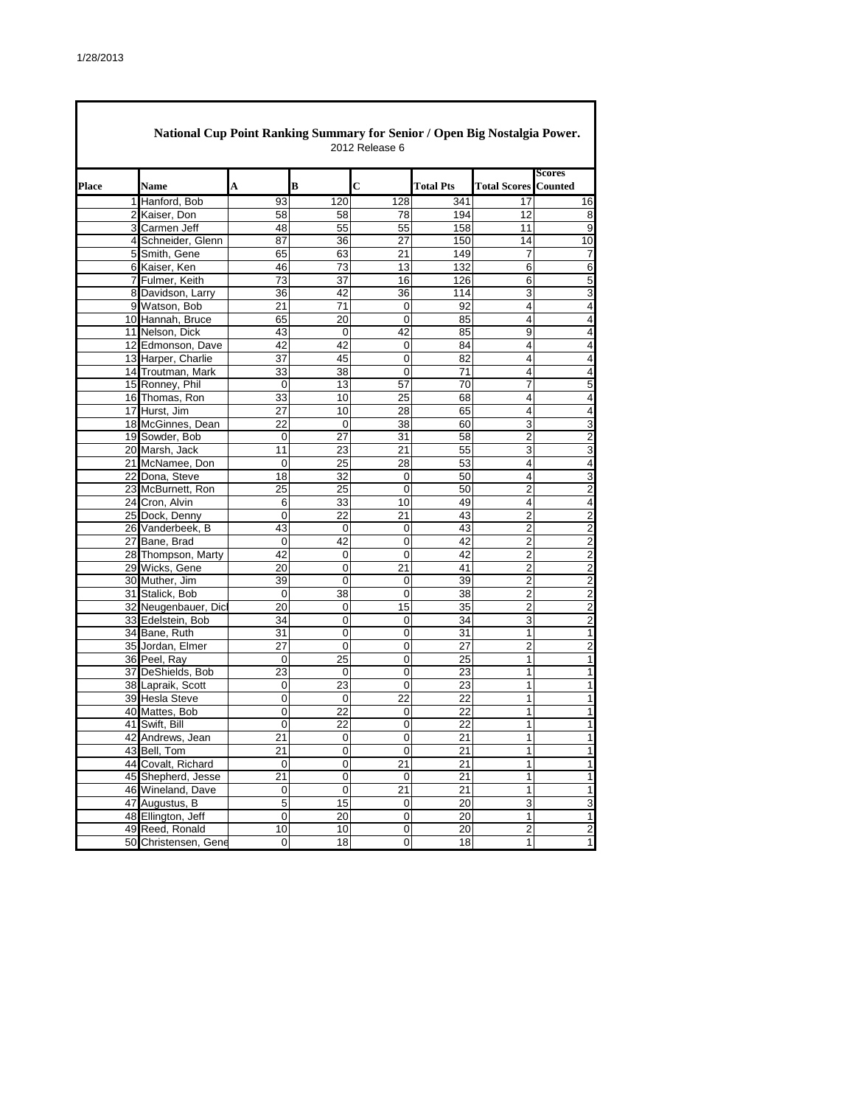|              | National Cup Point Ranking Summary for Senior / Open Big Nostalgia Power.<br>2012 Release 6 |                 |                 |                 |                  |                         |                                 |  |  |  |  |  |
|--------------|---------------------------------------------------------------------------------------------|-----------------|-----------------|-----------------|------------------|-------------------------|---------------------------------|--|--|--|--|--|
| <b>Place</b> | <b>Name</b>                                                                                 | A               | B               | $\overline{c}$  | <b>Total Pts</b> | <b>Total Scores</b>     | <b>Scores</b><br><b>Counted</b> |  |  |  |  |  |
|              | 1 Hanford, Bob                                                                              | 93              | 120             | 128             | 341              | 17                      | 16                              |  |  |  |  |  |
|              | 2 Kaiser, Don                                                                               | 58              | 58              | 78              | 194              | 12                      | 8                               |  |  |  |  |  |
|              | 3 Carmen Jeff                                                                               | 48              | 55              | 55              | 158              | 11                      | $\overline{9}$                  |  |  |  |  |  |
|              | 4 Schneider, Glenn                                                                          | 87              | 36              | 27              | 150              | 14                      | 10                              |  |  |  |  |  |
|              | 5 Smith, Gene                                                                               | 65              | 63              | $\overline{21}$ | 149              | 7                       | 7                               |  |  |  |  |  |
|              | 6 Kaiser, Ken                                                                               | 46              | 73              | 13              | 132              | 6                       | 6                               |  |  |  |  |  |
|              | 7 Fulmer, Keith                                                                             | 73              | $\overline{37}$ | 16              | 126              | 6                       | 5                               |  |  |  |  |  |
|              | 8 Davidson, Larry                                                                           | 36              | 42              | 36              | 114              | 3                       | $\overline{3}$                  |  |  |  |  |  |
|              | 9 Watson, Bob                                                                               | 21              | $\overline{71}$ | $\overline{0}$  | 92               | $\overline{4}$          | $\overline{4}$                  |  |  |  |  |  |
|              | 10 Hannah, Bruce                                                                            | 65              | 20              | 0               | 85               | 4                       | $\overline{4}$                  |  |  |  |  |  |
|              | 11 Nelson, Dick                                                                             | 43              | 0               | 42              | 85               | 9                       | $\overline{4}$                  |  |  |  |  |  |
|              | 12 Edmonson, Dave                                                                           | 42              | 42              | $\mathbf 0$     | 84               | 4                       | $\overline{\mathbf{4}}$         |  |  |  |  |  |
|              | 13 Harper, Charlie                                                                          | 37              | 45              | 0               | 82               | 4                       | $\overline{\mathbf{4}}$         |  |  |  |  |  |
|              | 14 Troutman, Mark                                                                           | 33              | 38              | 0               | 71               | 4                       | $\overline{4}$                  |  |  |  |  |  |
|              | 15 Ronney, Phil                                                                             | 0               | 13              | 57              | 70               | 7                       | 5                               |  |  |  |  |  |
|              | 16 Thomas, Ron                                                                              | 33              | 10              | 25              | 68               | 4                       | $\overline{\mathbf{4}}$         |  |  |  |  |  |
|              | 17 Hurst, Jim                                                                               | 27              | 10              | 28              | 65               | 4                       | $\overline{4}$                  |  |  |  |  |  |
|              | 18 McGinnes, Dean                                                                           | 22              | $\mathbf 0$     | $\overline{38}$ | 60               | 3                       | $\overline{3}$                  |  |  |  |  |  |
|              | 19 Sowder, Bob                                                                              | 0               | 27              | 31              | 58               | 2                       | $\overline{2}$                  |  |  |  |  |  |
|              | 20 Marsh, Jack                                                                              | 11              | 23              | 21              | 55               | 3                       | $\overline{3}$                  |  |  |  |  |  |
|              | 21 McNamee, Don                                                                             | 0               | 25              | 28              | 53               | 4                       | $\overline{4}$                  |  |  |  |  |  |
|              | 22 Dona, Steve                                                                              | 18              | 32              | 0               | 50               | 4                       | $\overline{3}$                  |  |  |  |  |  |
|              | 23 McBurnett, Ron                                                                           | 25              | 25              | $\mathbf 0$     | 50               | 2                       | $\overline{2}$                  |  |  |  |  |  |
|              | 24 Cron, Alvin                                                                              | 6               | 33              | 10              | 49               | 4                       | $\overline{4}$                  |  |  |  |  |  |
|              | 25 Dock, Denny                                                                              | 0               | 22              | 21              | 43               | 2                       | $\overline{2}$                  |  |  |  |  |  |
|              | 26 Vanderbeek, B                                                                            | 43              | 0               | 0               | 43               | 2                       | $\overline{\mathbf{c}}$         |  |  |  |  |  |
|              | 27 Bane, Brad                                                                               | $\mathbf 0$     | 42              | 0               | 42               | $\overline{2}$          | $\overline{\mathbf{c}}$         |  |  |  |  |  |
|              | 28 Thompson, Marty                                                                          | 42              | 0               | $\mathbf 0$     | 42               | 2                       | $\overline{\mathbf{c}}$         |  |  |  |  |  |
|              | 29 Wicks, Gene                                                                              | 20              | 0               | 21              | 41               | $\overline{2}$          | $\overline{2}$                  |  |  |  |  |  |
|              | 30 Muther, Jim                                                                              | 39              | 0               | 0               | 39               | $\overline{2}$          | $\overline{\mathbf{c}}$         |  |  |  |  |  |
|              | 31 Stalick, Bob                                                                             | 0               | 38              | 0               | 38               | 2                       | $\overline{\mathbf{c}}$         |  |  |  |  |  |
|              | 32 Neugenbauer, Dic                                                                         | $\overline{20}$ | 0               | 15              | 35               | 2                       | $\overline{\mathbf{c}}$         |  |  |  |  |  |
|              | 33 Edelstein, Bob                                                                           | 34              | 0               | 0               | 34               | 3                       | $\overline{2}$                  |  |  |  |  |  |
|              | 34 Bane, Ruth                                                                               | 31              | 0               | $\overline{0}$  | 31               | $\mathbf{1}$            | $\overline{1}$                  |  |  |  |  |  |
|              | 35 Jordan, Elmer                                                                            | 27              | 0               | 0               | 27               | 2                       | $\overline{2}$                  |  |  |  |  |  |
|              | 36 Peel, Ray                                                                                | $\mathbf 0$     | 25              | 0               | $\overline{25}$  | $\mathbf{1}$            | $\overline{\mathbf{1}}$         |  |  |  |  |  |
|              | 37 DeShields, Bob                                                                           | 23              | 0               | 0               | 23               | 1                       | 1                               |  |  |  |  |  |
|              | 38 Lapraik, Scott                                                                           | 0               | 23              | $\overline{0}$  | 23               | 1                       | $\mathbf{1}$                    |  |  |  |  |  |
|              | 39 Hesla Steve                                                                              | 0               | 0               | 22              | 22               | 1                       | 1                               |  |  |  |  |  |
|              | 40 Mattes, Bob                                                                              | 0               | 22              | 0               | 22               | $\mathbf{1}$            | 1                               |  |  |  |  |  |
|              | 41 Swift, Bill                                                                              | 0               | 22              | $\Omega$        | 22               | 1                       | 1                               |  |  |  |  |  |
|              | 42 Andrews, Jean                                                                            | 21              | 0               | 0               | 21               | 1                       | 1                               |  |  |  |  |  |
|              | 43 Bell, Tom                                                                                | 21              | $\overline{0}$  | 0               | 21               | 1                       | $\mathbf{1}$                    |  |  |  |  |  |
|              | 44 Covalt, Richard                                                                          | 0               | 0               | 21              | 21               | 1                       | 1                               |  |  |  |  |  |
|              | 45 Shepherd, Jesse                                                                          | 21              | $\pmb{0}$       | 0               | 21               | $\mathbf{1}$            | 1                               |  |  |  |  |  |
|              | 46 Wineland, Dave                                                                           | 0               | 0               | 21              | 21               | $\mathbf{1}$            | $\mathbf{1}$                    |  |  |  |  |  |
|              | 47 Augustus, B                                                                              | 5               | 15              | 0               | 20               | 3                       | $\overline{3}$                  |  |  |  |  |  |
|              | 48 Ellington, Jeff                                                                          | 0               | 20              | 0               | 20               | $\mathbf{1}$            | $\mathbf{1}$                    |  |  |  |  |  |
|              | 49 Reed, Ronald                                                                             | 10              | 10              | 0               | 20               | $\overline{\mathbf{c}}$ | $\overline{2}$                  |  |  |  |  |  |
|              | 50 Christensen, Gene                                                                        | 0               | 18              | $\pmb{0}$       | 18               | 1                       | $\mathbf{1}$                    |  |  |  |  |  |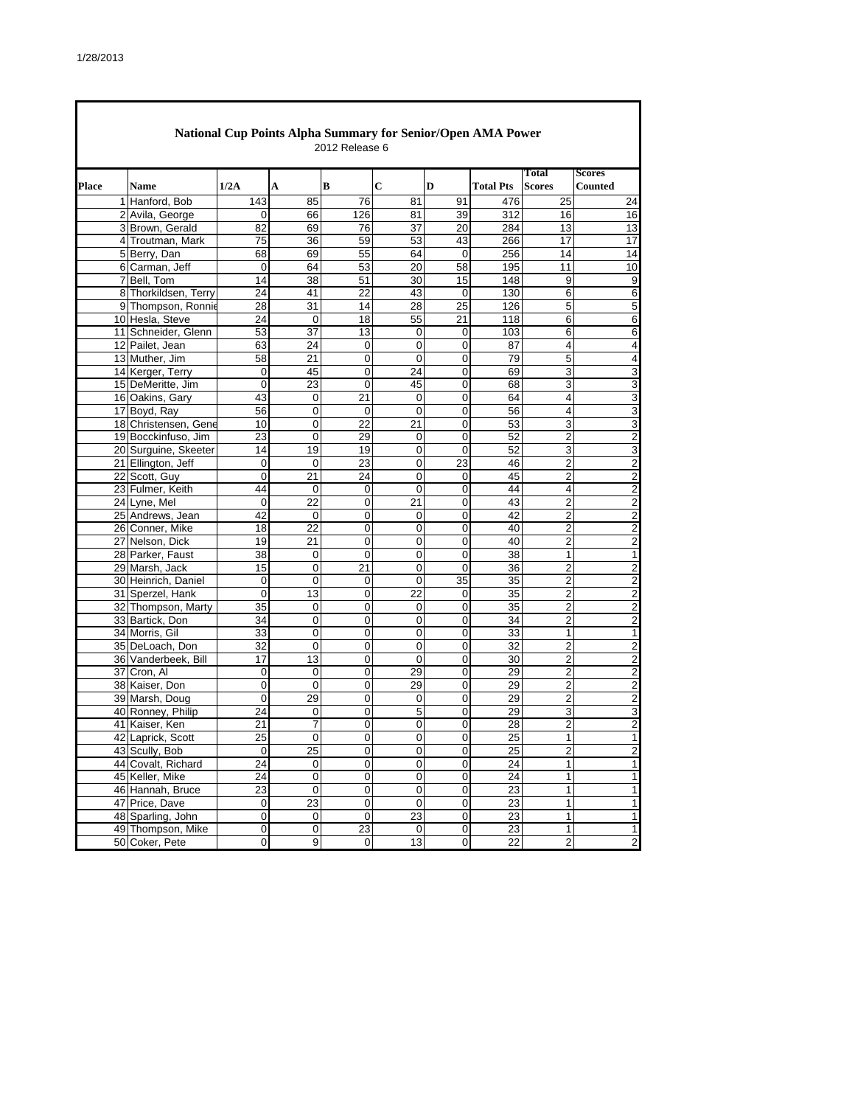|              |                      | National Cup Points Alpha Summary for Senior/Open AMA Power |                 | 2012 Release 6 |                 |                 |                  |                         |                                 |
|--------------|----------------------|-------------------------------------------------------------|-----------------|----------------|-----------------|-----------------|------------------|-------------------------|---------------------------------|
| <b>Place</b> | <b>Name</b>          | 1/2A                                                        | A               | B              | $\mathbf C$     | D               | <b>Total Pts</b> | Total<br><b>Scores</b>  | <b>Scores</b><br><b>Counted</b> |
|              | 1 Hanford, Bob       | 143                                                         | 85              | 76             | 81              | 91              | 476              | 25                      | 24                              |
|              | 2 Avila, George      | 0                                                           | 66              | 126            | 81              | 39              | 312              | 16                      | 16                              |
|              | 3 Brown, Gerald      | 82                                                          | 69              | 76             | $\overline{37}$ | 20              | 284              | 13                      | 13                              |
|              | 4 Troutman, Mark     | 75                                                          | 36              | 59             | 53              | 43              | 266              | 17                      | 17                              |
|              | 5 Berry, Dan         | 68                                                          | 69              | 55             | 64              | $\mathbf 0$     | 256              | 14                      | 14                              |
|              | 6 Carman, Jeff       | 0                                                           | 64              | 53             | 20              | 58              | 195              | 11                      | 10                              |
|              | 7 Bell, Tom          | 14                                                          | $\overline{38}$ | 51             | 30              | 15              | 148              | 9                       | 9                               |
|              | 8 Thorkildsen, Terry | 24                                                          | 41              | 22             | 43              | $\mathbf 0$     | 130              | 6                       | 6                               |
|              | 9 Thompson, Ronnie   | 28                                                          | 31              | 14             | 28              | $\overline{25}$ | 126              | 5                       | 5                               |
|              | 10 Hesla, Steve      | 24                                                          | 0               | 18             | 55              | 21              | 118              | 6                       | 6                               |
|              | 11 Schneider, Glenn  | 53                                                          | 37              | 13             | 0               | 0               | 103              | 6                       | 6                               |
|              | 12 Pailet, Jean      | 63                                                          | 24              | 0              | 0               | $\mathbf 0$     | 87               | 4                       | 4                               |
|              | 13 Muther, Jim       | 58                                                          | 21              | 0              | 0               | 0               | 79               | 5                       | 4                               |
|              | 14 Kerger, Terry     | 0                                                           | 45              | 0              | 24              | $\mathbf 0$     | 69               | 3                       | 3                               |
|              | 15 DeMeritte, Jim    | 0                                                           | 23              | 0              | 45              | $\mathbf 0$     | 68               | 3                       | 3                               |
|              | 16 Oakins, Gary      | 43                                                          | 0               | 21             | $\mathbf 0$     | $\mathbf 0$     | 64               | 4                       | 3                               |
|              | 17 Boyd, Ray         | 56                                                          | 0               | 0              | $\mathbf 0$     | 0               | 56               | 4                       | 3                               |
|              | 18 Christensen, Gene | 10                                                          | 0               | 22             | 21              | 0               | 53               | 3                       | 3                               |
|              | 19 Bocckinfuso, Jim  | 23                                                          | 0               | 29             | $\mathbf 0$     | $\mathbf 0$     | 52               | 2                       | $\overline{2}$                  |
|              | 20 Surguine, Skeeter | 14                                                          | 19              | 19             | 0               | $\mathbf 0$     | 52               | 3                       | 3                               |
|              | 21 Ellington, Jeff   | 0                                                           | 0               | 23             | 0               | 23              | 46               | $\overline{c}$          | $\overline{2}$                  |
|              | 22 Scott, Guy        | 0                                                           | 21              | 24             | 0               | 0               | 45               | 2                       | $\overline{\mathbf{c}}$         |
|              | 23 Fulmer, Keith     | 44                                                          | 0               | 0              | 0               | $\mathbf 0$     | 44               | 4                       | $\overline{c}$                  |
|              | 24 Lyne, Mel         | 0                                                           | 22              | 0              | 21              | $\mathbf 0$     | 43               | $\overline{c}$          | $\overline{c}$                  |
|              | 25 Andrews, Jean     | 42                                                          | 0               | 0              | 0               | 0               | 42               | 2                       | $\overline{2}$                  |
|              | 26 Conner, Mike      | 18                                                          | $\overline{22}$ | 0              | 0               | 0               | 40               | $\overline{2}$          | $\overline{c}$                  |
|              | 27 Nelson, Dick      | 19                                                          | 21              | 0              | 0               | 0               | 40               | 2                       | $\overline{c}$                  |
|              | 28 Parker, Faust     | $\overline{38}$                                             | 0               | 0              | 0               | $\mathbf 0$     | 38               | 1                       | 1                               |
|              | 29 Marsh, Jack       | 15                                                          | 0               | 21             | 0               | $\overline{0}$  | 36               | 2                       | $\overline{2}$                  |
|              | 30 Heinrich, Daniel  | 0                                                           | 0               | 0              | 0               | $\overline{35}$ | 35               | $\overline{2}$          | $\overline{2}$                  |
|              | 31 Sperzel, Hank     | 0                                                           | 13              | 0              | 22              | 0               | 35               | 2                       | $\overline{c}$                  |
|              | 32 Thompson, Marty   | $\overline{35}$                                             | 0               | 0              | $\Omega$        | $\mathbf 0$     | 35               | $\overline{2}$          | $\overline{2}$                  |
|              | 33 Bartick, Don      | 34                                                          | 0               | 0              | 0               | 0               | 34               | 2                       | $\overline{c}$                  |
|              | 34 Morris, Gil       | 33                                                          | 0               | 0              | 0               | 0               | 33               | 1                       | 1                               |
|              | 35 DeLoach, Don      | 32                                                          | 0               | 0              | 0               | 0               | 32               | 2                       | 2                               |
|              | 36 Vanderbeek, Bill  | 17                                                          | 13              | 0              | $\mathbf 0$     | 0               | 30               | $\overline{2}$          | $\overline{2}$                  |
|              | 37 Cron, Al          | 0                                                           | 0               | 0              | 29              | 0               | 29               | $\overline{2}$          | $\overline{2}$                  |
|              | 38 Kaiser, Don       | 0                                                           | 0               | 0              | 29              | 0               | 29               | 2                       | $\overline{c}$                  |
|              | 39 Marsh, Doug       | 0                                                           | 29              | 0              | 0               | $\mathbf 0$     | 29               | $\overline{2}$          | $\overline{\mathbf{c}}$         |
|              | 40 Ronney, Philip    | 24                                                          | 0               | 0              | 5               | 0               | 29               | 3                       | 3                               |
|              | 41 Kaiser, Ken       | 21                                                          | 7               | 0              | 0               | $\mathbf 0$     | $\overline{28}$  | $\overline{a}$          | $\overline{c}$                  |
|              | 42 Laprick, Scott    | 25                                                          | 0               | 0              | $\mathbf 0$     | 0               | 25               | 1                       | 1                               |
|              | 43 Scully, Bob       | 0                                                           | 25              | 0              | 0               | 0               | 25               | $\overline{\mathbf{c}}$ | $\overline{\mathbf{c}}$         |
|              | 44 Covalt, Richard   | 24                                                          | $\pmb{0}$       | 0              | 0               | $\mathbf 0$     | 24               | 1                       |                                 |
|              | 45 Keller, Mike      | 24                                                          | $\pmb{0}$       | 0              | $\pmb{0}$       | $\pmb{0}$       |                  |                         | 1                               |
|              |                      |                                                             |                 |                |                 |                 | 24               | 1                       | 1                               |
|              | 46 Hannah, Bruce     | 23                                                          | $\overline{0}$  | 0              | 0               | $\pmb{0}$       | 23               | $\mathbf{1}$            | 1                               |
|              | 47 Price, Dave       | 0                                                           | 23              | $\mathbf 0$    | 0               | $\pmb{0}$       | 23               | 1                       | 1                               |
|              | 48 Sparling, John    | 0                                                           | $\pmb{0}$       | 0              | 23              | $\mathbf 0$     | 23               | $\mathbf{1}$            | 1                               |
|              | 49 Thompson, Mike    | 0                                                           | $\pmb{0}$       | 23             | $\pmb{0}$       | $\pmb{0}$       | 23               | 1                       | 1                               |
|              | 50 Coker, Pete       | 0                                                           | 9               | 0              | 13              | $\pmb{0}$       | 22               | 2                       | $\overline{2}$                  |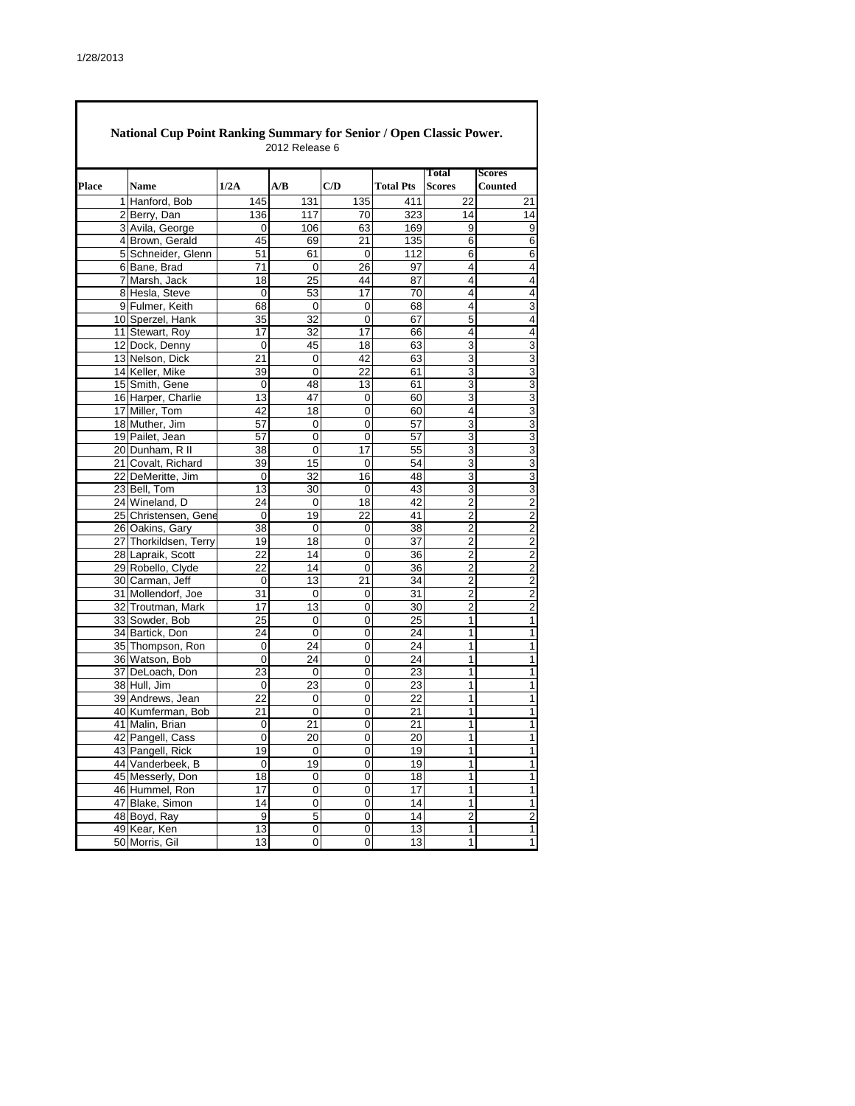| National Cup Point Ranking Summary for Senior / Open Classic Power.<br>2012 Release 6 |  |                                 |             |                 |          |                  |                  |                  |  |  |  |
|---------------------------------------------------------------------------------------|--|---------------------------------|-------------|-----------------|----------|------------------|------------------|------------------|--|--|--|
|                                                                                       |  |                                 |             |                 |          |                  | <b>Total</b>     | <b>Scores</b>    |  |  |  |
| <b>Place</b>                                                                          |  | <b>Name</b>                     | 1/2A        | A/B             | C/D      | <b>Total Pts</b> | <b>Scores</b>    | <b>Counted</b>   |  |  |  |
|                                                                                       |  | 1 Hanford, Bob                  | 145         | 131             | 135      | 411              | 22               | 21               |  |  |  |
|                                                                                       |  | 2 Berry, Dan<br>3 Avila, George | 136         | 117             | 70       | 323              | 14               | 14               |  |  |  |
|                                                                                       |  | 4 Brown, Gerald                 | 0<br>45     | 106             | 63<br>21 | 169<br>135       | 9                | 9                |  |  |  |
|                                                                                       |  | 5 Schneider, Glenn              | 51          | 69<br>61        | 0        | $\overline{112}$ | 6<br>6           | 6<br>6           |  |  |  |
|                                                                                       |  | 6 Bane, Brad                    | 71          | 0               | 26       | 97               | 4                | 4                |  |  |  |
|                                                                                       |  | 7 Marsh, Jack                   | 18          | 25              | 44       | 87               | 4                | $\overline{4}$   |  |  |  |
|                                                                                       |  | 8 Hesla, Steve                  | 0           | 53              | 17       | 70               | 4                | 4                |  |  |  |
|                                                                                       |  | 9 Fulmer, Keith                 | 68          | 0               | 0        | 68               | 4                | 3                |  |  |  |
|                                                                                       |  | 10 Sperzel, Hank                | 35          | 32              | 0        | 67               | 5                | 4                |  |  |  |
|                                                                                       |  | 11 Stewart, Roy                 | 17          | 32              | 17       | 66               | 4                | $\overline{4}$   |  |  |  |
|                                                                                       |  | 12 Dock, Denny                  | $\mathbf 0$ | 45              | 18       | 63               | 3                | 3                |  |  |  |
|                                                                                       |  | 13 Nelson, Dick                 | 21          | 0               | 42       | 63               | 3                | 3                |  |  |  |
|                                                                                       |  | 14 Keller, Mike                 | 39          | 0               | 22       | 61               | 3                | 3                |  |  |  |
|                                                                                       |  | 15 Smith, Gene                  | 0           | 48              | 13       | 61               | 3                | 3                |  |  |  |
|                                                                                       |  | 16 Harper, Charlie              | 13          | 47              | 0        | 60               | 3                | 3                |  |  |  |
|                                                                                       |  | 17 Miller, Tom                  | 42          | 18              | 0        | 60               | 4                | 3                |  |  |  |
|                                                                                       |  | 18 Muther, Jim                  | 57          | 0               | 0        | 57               | 3                | 3                |  |  |  |
|                                                                                       |  | 19 Pailet, Jean                 | 57          | 0               | 0        | 57               | 3                | 3                |  |  |  |
|                                                                                       |  | 20 Dunham, R II                 | 38          | 0               | 17       | 55               | 3                | 3                |  |  |  |
|                                                                                       |  | 21 Covalt, Richard              | 39          | 15              | 0        | 54               | 3                | 3                |  |  |  |
|                                                                                       |  | 22 DeMeritte, Jim               | 0           | 32              | 16       | 48               | 3                | 3                |  |  |  |
|                                                                                       |  | 23 Bell, Tom                    | 13          | 30              | 0        | 43               | 3                | 3                |  |  |  |
|                                                                                       |  | 24 Wineland, D                  | 24          | 0               | 18       | 42               | $\overline{2}$   | $\overline{2}$   |  |  |  |
|                                                                                       |  | 25 Christensen, Gene            | 0           | 19              | 22       | 41               | 2                | $\overline{c}$   |  |  |  |
|                                                                                       |  | 26 Oakins, Gary                 | 38          | 0               | 0        | 38               | 2                | $\overline{2}$   |  |  |  |
|                                                                                       |  | 27 Thorkildsen, Terry           | 19          | 18              | 0        | 37               | $\overline{2}$   | $\overline{2}$   |  |  |  |
|                                                                                       |  | 28 Lapraik, Scott               | 22          | 14              | 0        | 36               | 2                | $\overline{2}$   |  |  |  |
|                                                                                       |  | 29 Robello, Clyde               | 22          | 14              | 0        | 36               | $\overline{2}$   | $\overline{2}$   |  |  |  |
|                                                                                       |  | 30 Carman, Jeff                 | 0           | 13              | 21       | 34               | $\overline{2}$   | $\overline{2}$   |  |  |  |
|                                                                                       |  | 31 Mollendorf, Joe              | 31          | 0               | 0        | 31               | 2                | 2                |  |  |  |
|                                                                                       |  | 32 Troutman, Mark               | 17          | $\overline{13}$ | 0        | $\overline{30}$  | $\overline{2}$   | $\overline{2}$   |  |  |  |
|                                                                                       |  | 33 Sowder, Bob                  | 25          | 0               | 0        | 25               | 1                | 1                |  |  |  |
|                                                                                       |  | 34 Bartick, Don                 | 24          | 0               | 0        | 24               | 1                | $\mathbf{1}$     |  |  |  |
|                                                                                       |  | 35 Thompson, Ron                | 0           | 24              | 0        | 24               | 1                | 1                |  |  |  |
|                                                                                       |  | 36 Watson, Bob                  | $\mathbf 0$ | 24              | 0        | 24               | 1                | $\overline{1}$   |  |  |  |
|                                                                                       |  | 37 DeLoach, Don                 | 23          | 0               | 0        | 23               | 1                | 1                |  |  |  |
|                                                                                       |  | 38 Hull, Jim                    | 0           | 23              | 0        | $\overline{23}$  | 1                | $\overline{1}$   |  |  |  |
|                                                                                       |  | 39 Andrews, Jean                | 22          | 0               | 0        | 22               | 1                | 1                |  |  |  |
|                                                                                       |  | 40 Kumferman, Bob               | 21          | 0               | 0        | 21               | 1                | 1                |  |  |  |
|                                                                                       |  | 41 Malin, Brian                 | $\Omega$    | 21              | $\Omega$ | 21               | 1                | 1                |  |  |  |
|                                                                                       |  | 42 Pangell, Cass                | 0           | 20              | 0        | 20               | 1                | 1                |  |  |  |
|                                                                                       |  | 43 Pangell, Rick                | 19          | 0               | 0        | 19               | 1                | 1                |  |  |  |
|                                                                                       |  | 44 Vanderbeek, B                | 0           | 19              | 0        | 19               | 1                | 1                |  |  |  |
|                                                                                       |  | 45 Messerly, Don                | 18          | 0               | 0        | 18               | 1                | 1                |  |  |  |
|                                                                                       |  | 46 Hummel, Ron                  | 17          | 0               | 0        | 17               | 1                | 1                |  |  |  |
|                                                                                       |  | 47 Blake, Simon                 | 14          | 0               | 0        | 14               | 1                | 1                |  |  |  |
|                                                                                       |  | 48 Boyd, Ray                    | 9           | 5               | 0        | 14               | $\boldsymbol{2}$ | $\boldsymbol{2}$ |  |  |  |
|                                                                                       |  | 49 Kear, Ken                    | 13          | 0               | 0        | 13               | 1                | $\mathbf{1}$     |  |  |  |
|                                                                                       |  | 50 Morris, Gil                  | 13          | 0               | 0        | 13               | 1                | $\mathbf{1}$     |  |  |  |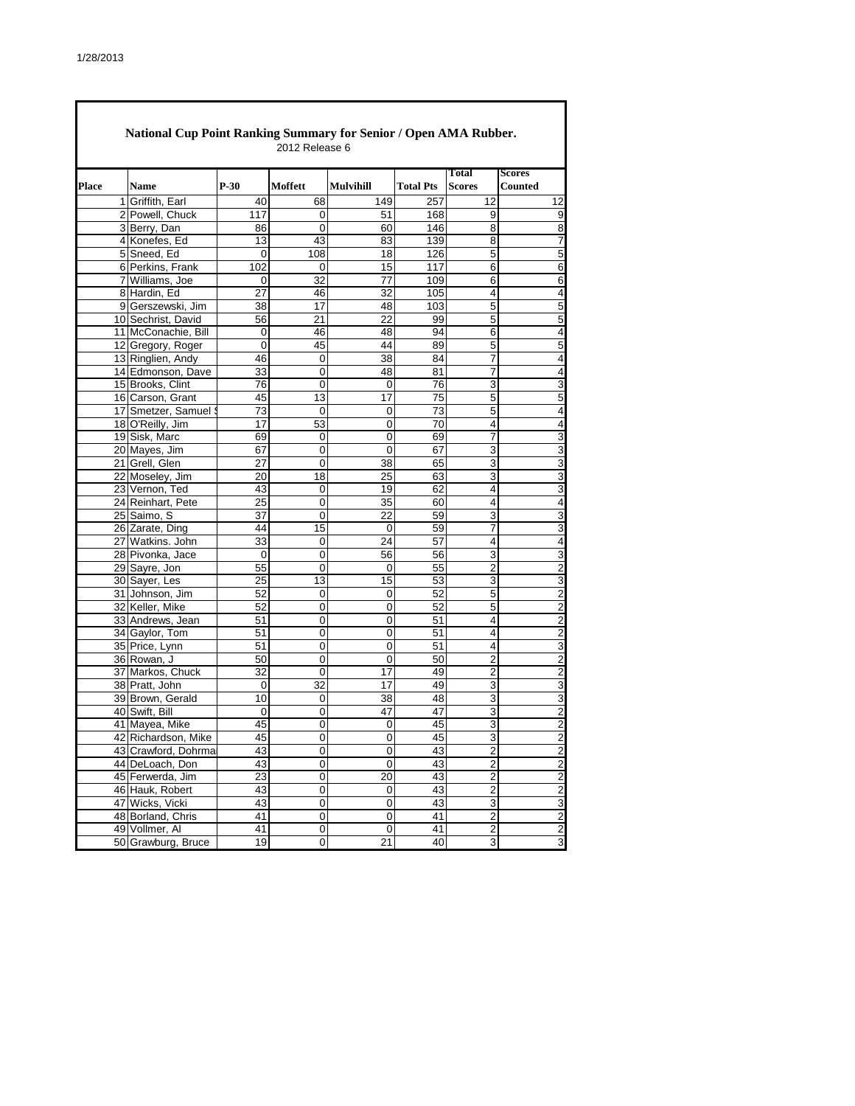| National Cup Point Ranking Summary for Senior / Open AMA Rubber.<br>2012 Release 6 |                      |             |                     |                  |                  |                               |                                 |  |  |  |
|------------------------------------------------------------------------------------|----------------------|-------------|---------------------|------------------|------------------|-------------------------------|---------------------------------|--|--|--|
| Place                                                                              | <b>Name</b>          | $P-30$      | Moffett             | <b>Mulvihill</b> | <b>Total Pts</b> | <b>Total</b><br><b>Scores</b> | <b>Scores</b><br><b>Counted</b> |  |  |  |
|                                                                                    | 1 Griffith, Earl     | 40          | 68                  | 149              | 257              | 12                            | 12                              |  |  |  |
|                                                                                    | 2 Powell, Chuck      | 117         | 0                   | 51               | 168              | 9                             | 9                               |  |  |  |
|                                                                                    | 3 Berry, Dan         | 86          | 0                   | 60               | 146              | 8                             | 8                               |  |  |  |
|                                                                                    | 4 Konefes, Ed        | 13          | 43                  | 83               | 139              | 8                             | 7                               |  |  |  |
|                                                                                    | 5 Sneed, Ed          | 0           | 108                 | 18               | 126              | $\overline{5}$                | 5                               |  |  |  |
|                                                                                    | 6 Perkins, Frank     | 102         | 0                   | 15               | 117              | 6                             | 6                               |  |  |  |
|                                                                                    | 7 Williams, Joe      | 0           | 32                  | 77               | 109              | 6                             | 6                               |  |  |  |
|                                                                                    | 8 Hardin, Ed         | 27          | 46                  | 32               | 105              | 4                             | 4                               |  |  |  |
|                                                                                    | 9 Gerszewski, Jim    | 38          | 17                  | 48               | 103              | $\overline{5}$                | $\overline{5}$                  |  |  |  |
|                                                                                    | 10 Sechrist, David   | 56          | 21                  | 22               | 99               | 5                             | 5                               |  |  |  |
|                                                                                    | 11 McConachie, Bill  | 0           | 46                  | 48               | 94               | 6                             | 4                               |  |  |  |
|                                                                                    | 12 Gregory, Roger    | $\mathbf 0$ | 45                  | 44               | 89               | 5                             | 5                               |  |  |  |
|                                                                                    | 13 Ringlien, Andy    | 46          | 0                   | 38               | 84               | 7                             | 4                               |  |  |  |
|                                                                                    | 14 Edmonson, Dave    | 33          | 0                   | 48               | 81               | 7                             | 4                               |  |  |  |
|                                                                                    | 15 Brooks, Clint     | 76          | 0                   | 0                | 76               | 3                             | 3                               |  |  |  |
|                                                                                    | 16 Carson, Grant     | 45          | 13                  | 17               | 75               | 5                             | 5                               |  |  |  |
|                                                                                    | 17 Smetzer, Samuel 9 | 73          | 0                   | 0                | 73               | 5                             | 4                               |  |  |  |
|                                                                                    | 18 O'Reilly, Jim     | 17          | 53                  | 0                | 70               | 4                             | 4                               |  |  |  |
|                                                                                    | 19 Sisk, Marc        | 69          | 0                   | 0                | 69               | 7                             | 3                               |  |  |  |
|                                                                                    | 20 Mayes, Jim        | 67          | 0                   | 0                | 67               | 3                             | 3                               |  |  |  |
|                                                                                    | 21 Grell, Glen       | 27          | 0                   | 38               | 65               | 3                             | 3                               |  |  |  |
|                                                                                    | 22 Moseley, Jim      | 20          | 18                  | 25               | 63               | 3                             | 3                               |  |  |  |
|                                                                                    | 23 Vernon, Ted       | 43          | 0                   | 19               | 62               | 4                             | 3                               |  |  |  |
|                                                                                    | 24 Reinhart, Pete    | 25          | 0                   | 35               | 60               | 4                             | 4                               |  |  |  |
|                                                                                    | 25 Saimo, S          | 37          | 0                   | 22               | 59               | 3                             | 3                               |  |  |  |
|                                                                                    | 26 Zarate, Ding      | 44          | 15                  | 0                | 59               | 7                             | 3                               |  |  |  |
|                                                                                    | 27 Watkins. John     | 33          | 0                   | 24               | 57               | 4                             | 4                               |  |  |  |
|                                                                                    | 28 Pivonka, Jace     | 0           | 0                   | 56               | 56               | 3                             | 3                               |  |  |  |
|                                                                                    | 29 Sayre, Jon        | 55          | 0                   | 0                | 55               | $\overline{2}$                | $\overline{2}$                  |  |  |  |
|                                                                                    | 30 Sayer, Les        | 25          | $\overline{13}$     | 15               | 53               | 3                             | 3                               |  |  |  |
|                                                                                    | 31 Johnson, Jim      | 52          | 0                   | 0                | 52               | 5                             | 2                               |  |  |  |
|                                                                                    | 32 Keller, Mike      | 52          | $\overline{0}$      | 0                | 52               | 5                             | 2                               |  |  |  |
|                                                                                    | 33 Andrews, Jean     | 51          | 0                   | 0                | 51               | 4                             | $\overline{2}$                  |  |  |  |
|                                                                                    | 34 Gaylor, Tom       | 51          | $\overline{0}$      | 0                | 51               | 4                             | $\overline{2}$                  |  |  |  |
|                                                                                    | 35 Price, Lynn       | 51          | 0                   | 0                | 51               | 4                             | 3                               |  |  |  |
|                                                                                    | 36 Rowan, J          | 50          | 0                   | 0                | 50               | $\overline{2}$                | $\overline{2}$                  |  |  |  |
|                                                                                    | 37 Markos, Chuck     | 32          | 0                   | 17               | 49               | 2                             | $\overline{2}$                  |  |  |  |
|                                                                                    | 38 Pratt, John       | $\mathbf 0$ | 32                  | 17               | 49               | 3                             | 3                               |  |  |  |
|                                                                                    | 39 Brown, Gerald     | 10          | 0                   | 38               | 48               | 3                             | 3                               |  |  |  |
|                                                                                    | 40 Swift, Bill       | 0           | 0                   | 47               | 47               | 3                             | 2                               |  |  |  |
|                                                                                    | 41 Mayea, Mike       | 45          | $\Omega$            | $\Omega$         | 45               | 3                             | $\mathfrak{p}$                  |  |  |  |
|                                                                                    | 42 Richardson, Mike  | 45          | 0                   | 0                | 45               | 3                             | 2                               |  |  |  |
|                                                                                    | 43 Crawford, Dohrma  | 43          | $\mathbf 0$         | 0                | 43               | $\overline{2}$                | $\overline{2}$                  |  |  |  |
|                                                                                    | 44 DeLoach, Don      | 43          | 0                   | 0                | 43               | $\overline{2}$                | $\overline{\mathbf{c}}$         |  |  |  |
|                                                                                    | 45 Ferwerda, Jim     | 23          | $\pmb{0}$           | 20               | 43               | $\mathbf 2$                   | $\overline{c}$                  |  |  |  |
|                                                                                    | 46 Hauk, Robert      | 43          | 0                   | 0                | 43               | 2                             | $\overline{\mathbf{c}}$         |  |  |  |
|                                                                                    | 47 Wicks, Vicki      | 43          | 0                   | 0                | 43               | 3                             | 3                               |  |  |  |
|                                                                                    | 48 Borland, Chris    | 41          | 0                   | 0                | 41               | $\boldsymbol{2}$              | $\overline{\mathbf{c}}$         |  |  |  |
|                                                                                    | 49 Vollmer, Al       | 41          | $\mathsf{O}\xspace$ | 0                | 41               | $\boldsymbol{2}$              | $\overline{2}$                  |  |  |  |
|                                                                                    | 50 Grawburg, Bruce   | 19          | $\overline{0}$      | 21               | 40               | 3                             | 3                               |  |  |  |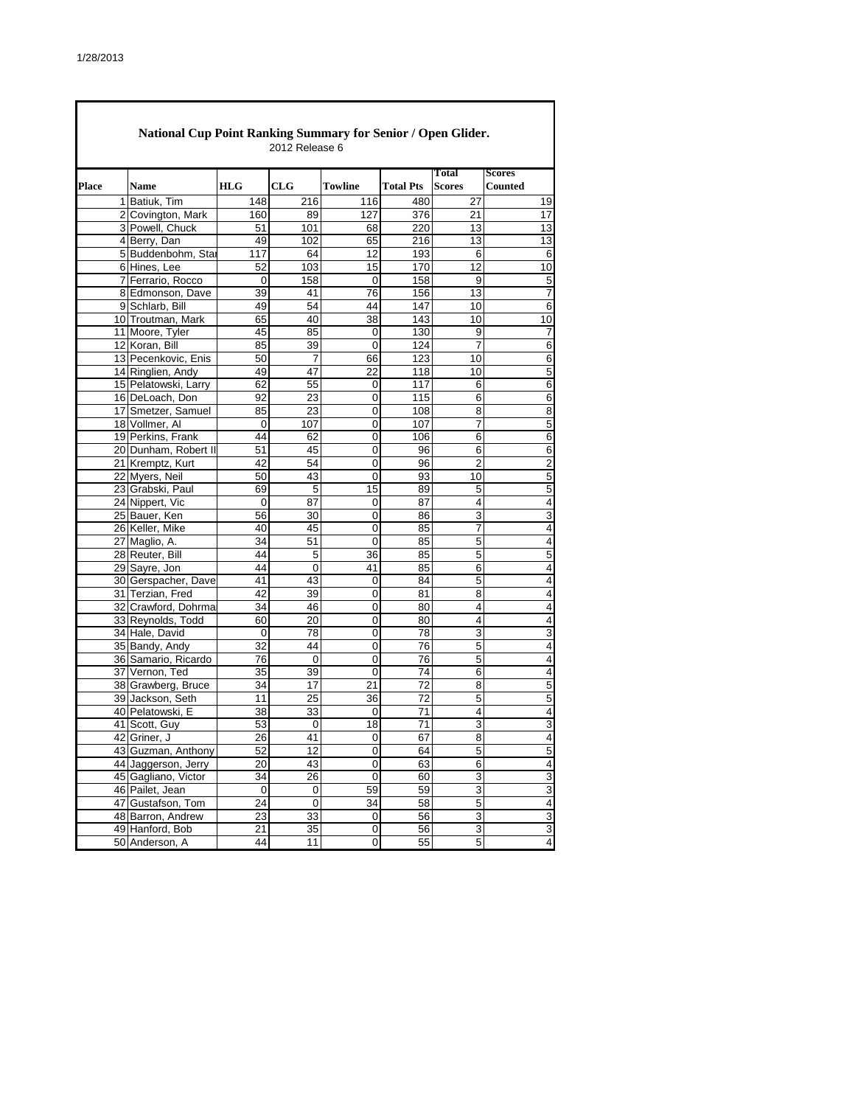| National Cup Point Ranking Summary for Senior / Open Glider.<br>2012 Release 6 |                      |                 |          |                 |                  |                |                         |  |  |  |  |
|--------------------------------------------------------------------------------|----------------------|-----------------|----------|-----------------|------------------|----------------|-------------------------|--|--|--|--|
| <b>Place</b>                                                                   | <b>Name</b>          | <b>HLG</b>      | CLG      | Towline         | <b>Total Pts</b> | <b>Total</b>   | <b>Scores</b>           |  |  |  |  |
|                                                                                |                      |                 |          |                 |                  | <b>Scores</b>  | Counted                 |  |  |  |  |
|                                                                                | 1 Batiuk, Tim        | 148             | 216      | 116             | 480              | 27             | 19                      |  |  |  |  |
|                                                                                | 2 Covington, Mark    | 160             | 89       | 127             | 376              | 21             | 17                      |  |  |  |  |
|                                                                                | 3 Powell, Chuck      | 51              | 101      | 68              | 220              | 13             | 13                      |  |  |  |  |
|                                                                                | 4 Berry, Dan         | 49              | 102      | 65              | 216              | 13             | 13                      |  |  |  |  |
|                                                                                | 5 Buddenbohm, Star   | 117             | 64       | $\overline{12}$ | 193              | 6              | $6\phantom{a}$          |  |  |  |  |
|                                                                                | 6 Hines, Lee         | 52              | 103      | 15              | 170              | 12             | 10                      |  |  |  |  |
|                                                                                | 7 Ferrario, Rocco    | 0               | 158      | $\mathbf 0$     | 158              | 9              | 5                       |  |  |  |  |
|                                                                                | 8 Edmonson, Dave     | 39              | 41       | 76              | 156              | 13             | $\overline{7}$          |  |  |  |  |
|                                                                                | 9 Schlarb, Bill      | 49              | 54       | 44              | 147              | 10             | 6                       |  |  |  |  |
|                                                                                | 10 Troutman, Mark    | 65              | 40       | 38              | 143              | 10             | 10                      |  |  |  |  |
|                                                                                | 11 Moore, Tyler      | 45              | 85       | $\mathbf 0$     | 130              | 9              | 7                       |  |  |  |  |
|                                                                                | 12 Koran, Bill       | 85              | 39       | 0               | 124              | $\overline{7}$ | $\sqrt{6}$              |  |  |  |  |
|                                                                                | 13 Pecenkovic, Enis  | 50              | 7        | 66              | 123              | 10             | $\overline{6}$          |  |  |  |  |
|                                                                                | 14 Ringlien, Andy    | 49              | 47       | 22              | 118              | 10             | 5                       |  |  |  |  |
|                                                                                | 15 Pelatowski, Larry | 62              | 55       | 0               | 117              | 6              | $\overline{6}$          |  |  |  |  |
|                                                                                | 16 DeLoach, Don      | 92              | 23       | 0               | 115              | 6              | $\overline{6}$          |  |  |  |  |
|                                                                                | 17 Smetzer, Samuel   | 85              | 23       | 0               | 108              | 8              | $\overline{8}$          |  |  |  |  |
|                                                                                | 18 Vollmer, Al       | 0               | 107      | 0               | 107              | 7              | 5                       |  |  |  |  |
|                                                                                | 19 Perkins, Frank    | 44              | 62       | 0               | 106              | 6              | $\overline{6}$          |  |  |  |  |
|                                                                                | 20 Dunham, Robert II | 51              | 45       | 0               | 96               | 6              | $\overline{6}$          |  |  |  |  |
|                                                                                | 21 Kremptz, Kurt     | 42              | 54       | 0               | 96               | 2              | $\overline{2}$          |  |  |  |  |
|                                                                                | 22 Myers, Neil       | 50              | 43       | 0               | 93               | 10             | 5                       |  |  |  |  |
|                                                                                | 23 Grabski, Paul     | 69              | 5        | 15              | 89               | 5              | $\overline{5}$          |  |  |  |  |
|                                                                                | 24 Nippert, Vic      | 0               | 87       | 0               | 87               | 4              | $\overline{4}$          |  |  |  |  |
|                                                                                | 25 Bauer, Ken        | 56              | 30       | 0               | 86               | 3              | 3                       |  |  |  |  |
|                                                                                | 26 Keller, Mike      | 40              | 45       | 0               | 85               | 7              | 4                       |  |  |  |  |
|                                                                                | 27 Maglio, A.        | 34              | 51       | 0               | 85               | 5              | $\overline{\mathbf{4}}$ |  |  |  |  |
|                                                                                | 28 Reuter, Bill      | 44              | 5        | 36              | 85               | $\overline{5}$ | 5                       |  |  |  |  |
|                                                                                | 29 Sayre, Jon        | 44              | 0        | 41              | 85               | 6              | $\overline{\mathbf{4}}$ |  |  |  |  |
|                                                                                | 30 Gerspacher, Dave  | 41              | 43       | 0               | 84               | 5              | $\overline{\mathbf{4}}$ |  |  |  |  |
|                                                                                | 31 Terzian, Fred     | 42              | 39       | 0               | 81               | 8              | $\overline{4}$          |  |  |  |  |
|                                                                                | 32 Crawford, Dohrma  | 34              | 46       | 0               | 80               | 4              | $\overline{\mathbf{4}}$ |  |  |  |  |
|                                                                                | 33 Reynolds, Todd    | 60              | 20       | 0               | 80               | 4              | $\overline{4}$          |  |  |  |  |
|                                                                                | 34 Hale, David       | 0               | 78       | 0               | 78               | 3              | $\overline{3}$          |  |  |  |  |
|                                                                                | 35 Bandy, Andy       | 32              | 44       | 0               | 76               | 5              | $\overline{\mathbf{r}}$ |  |  |  |  |
|                                                                                | 36 Samario, Ricardo  | 76              | 0        | 0               | 76               | 5              | $\overline{\mathbf{4}}$ |  |  |  |  |
|                                                                                | 37 Vernon, Ted       | 35              | 39       | 0               | 74               | 6              | $\overline{\mathbf{4}}$ |  |  |  |  |
|                                                                                | 38 Grawberg, Bruce   | $\overline{34}$ | 17       | 21              | $\overline{72}$  | $\overline{8}$ | 5                       |  |  |  |  |
|                                                                                | 39 Jackson, Seth     | 11              | 25       | 36              | 72               | 5              | $\overline{5}$          |  |  |  |  |
|                                                                                | 40 Pelatowski, E     | 38              | 33       | 0               | 71               | 4              | $\overline{4}$          |  |  |  |  |
|                                                                                | 41 Scott, Guy        | 53              | $\Omega$ | $\overline{18}$ | 71               | ঽ              | $\overline{3}$          |  |  |  |  |
|                                                                                | 42 Griner, J         | 26              | 41       | 0               | 67               | 8              | $\overline{4}$          |  |  |  |  |
|                                                                                | 43 Guzman, Anthony   | 52              | 12       | 0               | 64               | 5              | 5                       |  |  |  |  |
|                                                                                | 44 Jaggerson, Jerry  | 20              | 43       | 0               | 63               | 6              | $\overline{4}$          |  |  |  |  |
|                                                                                | 45 Gagliano, Victor  | 34              | 26       | 0               | 60               | 3              | $\overline{3}$          |  |  |  |  |
|                                                                                | 46 Pailet, Jean      | 0               | 0        | 59              | 59               | 3              | $\overline{3}$          |  |  |  |  |
|                                                                                | 47 Gustafson, Tom    | 24              | 0        | $\overline{34}$ | 58               | 5              | $\overline{4}$          |  |  |  |  |
|                                                                                | 48 Barron, Andrew    | 23              | 33       | 0               | 56               | 3              |                         |  |  |  |  |
|                                                                                | 49 Hanford, Bob      | 21              | 35       | 0               | 56               | 3              | سا س                    |  |  |  |  |
|                                                                                | 50 Anderson, A       | 44              | 11       | 0               | 55               | 5              | $\overline{\mathbf{r}}$ |  |  |  |  |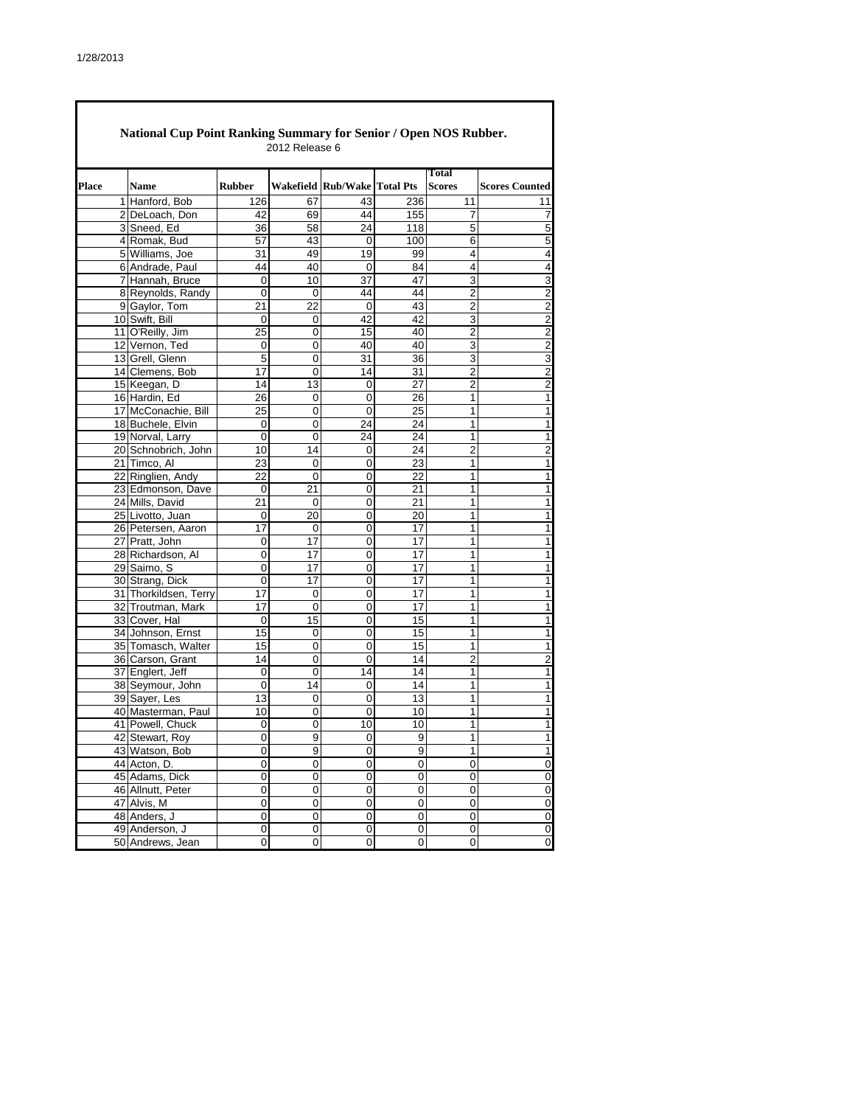Г

| National Cup Point Ranking Summary for Senior / Open NOS Rubber.<br>2012 Release 6 |                                      |               |                  |                              |                  |                |                                  |  |  |  |
|------------------------------------------------------------------------------------|--------------------------------------|---------------|------------------|------------------------------|------------------|----------------|----------------------------------|--|--|--|
|                                                                                    |                                      |               |                  |                              |                  | <b>Total</b>   |                                  |  |  |  |
| Place                                                                              | Name                                 | <b>Rubber</b> |                  | Wakefield Rub/Wake Total Pts |                  | <b>Scores</b>  | <b>Scores Counted</b>            |  |  |  |
|                                                                                    | 1 Hanford, Bob                       | 126           | 67               | 43                           | 236              | 11             | 11                               |  |  |  |
|                                                                                    | 2 DeLoach, Don                       | 42            | 69               | 44                           | 155              | 7              | 7                                |  |  |  |
|                                                                                    | 3 Sneed, Ed                          | 36            | 58               | 24                           | 118              | 5              | 5                                |  |  |  |
|                                                                                    | 4 Romak, Bud                         | 57            | 43               | 0                            | 100              | 6              | 5                                |  |  |  |
|                                                                                    | 5 Williams, Joe                      | 31            | 49               | 19                           | 99               | $\overline{4}$ | $\overline{\mathbf{4}}$          |  |  |  |
|                                                                                    | 6 Andrade, Paul                      | 44            | 40               | 0                            | 84               | $\overline{4}$ | 4                                |  |  |  |
|                                                                                    | 7 Hannah, Bruce                      | 0             | 10               | 37                           | 47               | 3              | 3                                |  |  |  |
|                                                                                    | 8 Reynolds, Randy                    | 0             | 0                | 44                           | 44               | 2              | $\overline{\mathbf{c}}$          |  |  |  |
|                                                                                    | 9 Gaylor, Tom                        | 21            | 22               | 0                            | 43               | 2              | $\frac{2}{2}$                    |  |  |  |
|                                                                                    | 10 Swift, Bill                       | 0             | 0                | 42                           | 42               | 3              |                                  |  |  |  |
|                                                                                    | 11 O'Reilly, Jim                     | 25            | 0                | 15                           | 40               | $\overline{2}$ |                                  |  |  |  |
|                                                                                    | 12 Vernon, Ted                       | 0             | 0                | 40                           | 40               | 3              | $\frac{2}{2}$                    |  |  |  |
|                                                                                    | 13 Grell, Glenn                      | 5             | 0                | 31                           | 36               | 3              | $\overline{3}$                   |  |  |  |
|                                                                                    | 14 Clemens, Bob                      | 17            | 0                | 14                           | 31               | $\overline{2}$ | $\overline{\mathbf{2}}$          |  |  |  |
|                                                                                    | 15 Keegan, D                         | 14            | 13               | 0                            | 27               | 2              | $\overline{c}$                   |  |  |  |
|                                                                                    | 16 Hardin, Ed                        | 26            | 0                | 0                            | 26               | 1              | 1                                |  |  |  |
|                                                                                    | 17 McConachie, Bill                  | 25            | 0                | 0                            | 25               | 1              | $\mathbf{1}$                     |  |  |  |
|                                                                                    | 18 Buchele, Elvin                    | 0             | 0                | 24                           | 24               | 1              | 1                                |  |  |  |
|                                                                                    | 19 Norval, Larry                     | 0             | 0                | 24                           | 24               | 1              | $\mathbf{1}$                     |  |  |  |
|                                                                                    | 20 Schnobrich, John                  | 10            | 14               | 0                            | 24               | $\overline{2}$ | $\overline{2}$                   |  |  |  |
|                                                                                    | 21 Timco, Al                         | 23            | 0                | 0                            | 23               | 1              | 1                                |  |  |  |
|                                                                                    | 22 Ringlien, Andy                    | 22            | 0                | 0                            | 22               | 1              | 1                                |  |  |  |
|                                                                                    | 23 Edmonson, Dave                    | 0             | 21               | 0                            | 21               | 1              | 1                                |  |  |  |
|                                                                                    | 24 Mills, David                      | 21            | 0                | 0                            | 21               | 1              | 1                                |  |  |  |
|                                                                                    | 25 Livotto, Juan                     | 0             | 20               | 0                            | 20               | 1              | 1                                |  |  |  |
|                                                                                    | 26 Petersen, Aaron                   | 17            | 0                | 0                            | 17               | 1              | 1                                |  |  |  |
|                                                                                    | 27 Pratt, John                       | 0             | 17               | 0                            | 17               | 1              | 1                                |  |  |  |
|                                                                                    | 28 Richardson, Al                    | 0             | 17               | 0                            | 17               | 1              | 1                                |  |  |  |
|                                                                                    | 29 Saimo, S                          | 0             | 17               | 0                            | 17               | 1              | 1                                |  |  |  |
|                                                                                    | 30 Strang, Dick                      | 0             | 17               | 0                            | 17               | 1              | 1                                |  |  |  |
|                                                                                    | 31 Thorkildsen, Terry                | 17            | 0                | 0                            | 17               | 1              | 1                                |  |  |  |
|                                                                                    | 32 Troutman, Mark                    | 17            | 0                | 0                            | $\overline{17}$  | 1              | 1                                |  |  |  |
|                                                                                    | 33 Cover, Hal                        | 0             | 15               | 0                            | 15               | 1              | 1                                |  |  |  |
|                                                                                    | 34 Johnson, Ernst                    | 15            | 0                | 0                            | $\overline{15}$  | 1              | 1                                |  |  |  |
|                                                                                    | 35 Tomasch, Walter                   | 15            | 0                | 0                            | 15               | 1              | $\mathbf{1}$                     |  |  |  |
|                                                                                    | 36 Carson, Grant                     | 14            | 0                | 0<br>14                      | 14<br>14         | 2              | $\overline{2}$<br>$\overline{1}$ |  |  |  |
|                                                                                    | 37 Englert, Jeff<br>38 Seymour, John | 0<br>0        | 0<br>14          | 0                            | 14               | 1<br>1         | 1                                |  |  |  |
|                                                                                    |                                      | 13            |                  | 0                            | 13               | 1              | 1                                |  |  |  |
|                                                                                    | 39 Sayer, Les<br>40 Masterman, Paul  |               | 0                |                              | 10               | 1              | 1                                |  |  |  |
|                                                                                    | 41 Powell, Chuck                     | 10<br>0       | 0<br>0           | 0<br>10                      | 10               | 1              |                                  |  |  |  |
|                                                                                    | 42 Stewart, Roy                      | 0             | 9                | 0                            | 9                | 1              | 1                                |  |  |  |
|                                                                                    | 43 Watson, Bob                       | 0             | $\boldsymbol{9}$ | 0                            | $\boldsymbol{9}$ | 1              | $\overline{1}$                   |  |  |  |
|                                                                                    | 44 Acton, D.                         | 0             | 0                | 0                            | 0                | 0              | $\overline{\mathbf{0}}$          |  |  |  |
|                                                                                    | 45 Adams, Dick                       | 0             | 0                | 0                            | 0                | $\mathbf 0$    | $\pmb{0}$                        |  |  |  |
|                                                                                    | 46 Allnutt, Peter                    | 0             | 0                | 0                            | 0                | 0              | $\mathbf 0$                      |  |  |  |
|                                                                                    | 47 Alvis, M                          | 0             | 0                | 0                            | $\mathbf 0$      | $\pmb{0}$      | $\overline{\mathbf{0}}$          |  |  |  |
|                                                                                    | 48 Anders, J                         | 0             | 0                | 0                            | $\mathbf 0$      | 0              | $\mathbf 0$                      |  |  |  |
|                                                                                    | 49 Anderson, J                       | 0             | 0                | 0                            | 0                | 0              | $\mathsf{O}\xspace$              |  |  |  |
|                                                                                    | 50 Andrews, Jean                     | 0             | 0                | 0                            | 0                | 0              | $\mathsf{O}\xspace$              |  |  |  |